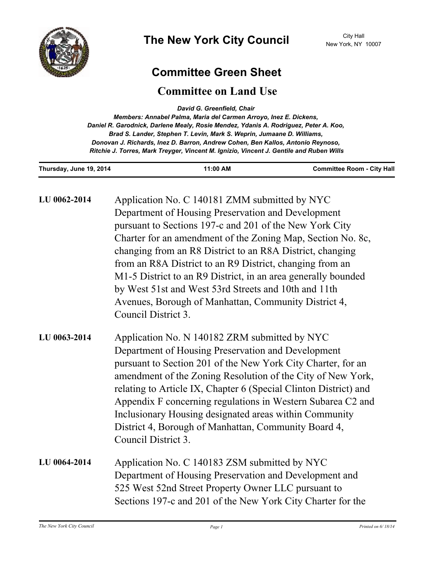

## **Committee Green Sheet**

## **Committee on Land Use**

*David G. Greenfield, Chair* 

| Members: Annabel Palma, Maria del Carmen Arroyo, Inez E. Dickens,                       |
|-----------------------------------------------------------------------------------------|
| Daniel R. Garodnick, Darlene Mealy, Rosie Mendez, Ydanis A. Rodriguez, Peter A. Koo,    |
| Brad S. Lander, Stephen T. Levin, Mark S. Weprin, Jumaane D. Williams,                  |
| Donovan J. Richards, Inez D. Barron, Andrew Cohen, Ben Kallos, Antonio Reynoso,         |
| Ritchie J. Torres, Mark Treyger, Vincent M. Ignizio, Vincent J. Gentile and Ruben Wills |

| Thursday, June 19, 2014 | 11:00 AM                                                                                                                                                                                                                                                                                                                                                                                                                                                                                                                                                       | <b>Committee Room - City Hall</b> |
|-------------------------|----------------------------------------------------------------------------------------------------------------------------------------------------------------------------------------------------------------------------------------------------------------------------------------------------------------------------------------------------------------------------------------------------------------------------------------------------------------------------------------------------------------------------------------------------------------|-----------------------------------|
| LU 0062-2014            | Application No. C 140181 ZMM submitted by NYC<br>Department of Housing Preservation and Development<br>pursuant to Sections 197-c and 201 of the New York City<br>Charter for an amendment of the Zoning Map, Section No. 8c,<br>changing from an R8 District to an R8A District, changing<br>from an R8A District to an R9 District, changing from an<br>M1-5 District to an R9 District, in an area generally bounded<br>by West 51st and West 53rd Streets and 10th and 11th<br>Avenues, Borough of Manhattan, Community District 4,<br>Council District 3. |                                   |
| LU 0063-2014            | Application No. N 140182 ZRM submitted by NYC<br>Department of Housing Preservation and Development<br>pursuant to Section 201 of the New York City Charter, for an<br>amendment of the Zoning Resolution of the City of New York,<br>relating to Article IX, Chapter 6 (Special Clinton District) and<br>Appendix F concerning regulations in Western Subarea C2 and<br>Inclusionary Housing designated areas within Community<br>District 4, Borough of Manhattan, Community Board 4,<br>Council District 3.                                                 |                                   |
| LU 0064-2014            | Application No. C 140183 ZSM submitted by NYC<br>Department of Housing Preservation and Development and<br>525 West 52nd Street Property Owner LLC pursuant to<br>Sections 197-c and 201 of the New York City Charter for the                                                                                                                                                                                                                                                                                                                                  |                                   |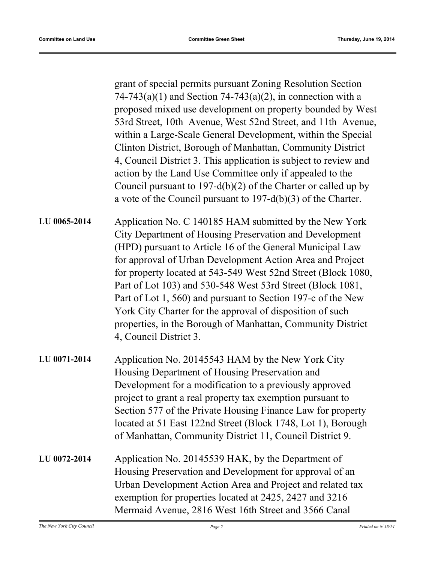grant of special permits pursuant Zoning Resolution Section  $74-743(a)(1)$  and Section  $74-743(a)(2)$ , in connection with a proposed mixed use development on property bounded by West 53rd Street, 10th Avenue, West 52nd Street, and 11th Avenue, within a Large-Scale General Development, within the Special Clinton District, Borough of Manhattan, Community District 4, Council District 3. This application is subject to review and action by the Land Use Committee only if appealed to the Council pursuant to 197-d(b)(2) of the Charter or called up by a vote of the Council pursuant to 197-d(b)(3) of the Charter. Application No. C 140185 HAM submitted by the New York City Department of Housing Preservation and Development (HPD) pursuant to Article 16 of the General Municipal Law for approval of Urban Development Action Area and Project for property located at 543-549 West 52nd Street (Block 1080, Part of Lot 103) and 530-548 West 53rd Street (Block 1081, Part of Lot 1, 560) and pursuant to Section 197-c of the New York City Charter for the approval of disposition of such properties, in the Borough of Manhattan, Community District 4, Council District 3. **LU 0065-2014** Application No. 20145543 HAM by the New York City Housing Department of Housing Preservation and Development for a modification to a previously approved project to grant a real property tax exemption pursuant to **LU 0071-2014**

Section 577 of the Private Housing Finance Law for property located at 51 East 122nd Street (Block 1748, Lot 1), Borough of Manhattan, Community District 11, Council District 9.

Application No. 20145539 HAK, by the Department of Housing Preservation and Development for approval of an Urban Development Action Area and Project and related tax exemption for properties located at 2425, 2427 and 3216 Mermaid Avenue, 2816 West 16th Street and 3566 Canal **LU 0072-2014**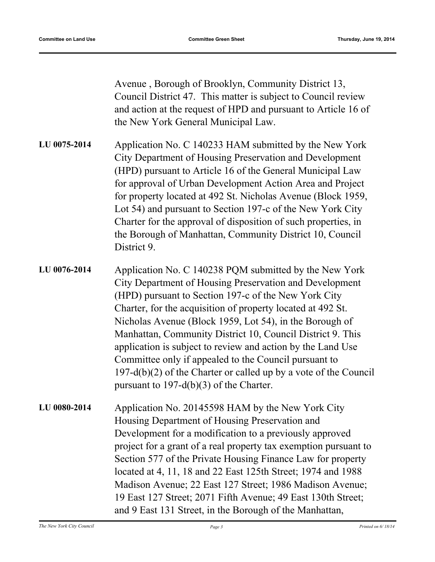Avenue , Borough of Brooklyn, Community District 13, Council District 47. This matter is subject to Council review and action at the request of HPD and pursuant to Article 16 of the New York General Municipal Law.

Application No. C 140233 HAM submitted by the New York City Department of Housing Preservation and Development (HPD) pursuant to Article 16 of the General Municipal Law for approval of Urban Development Action Area and Project for property located at 492 St. Nicholas Avenue (Block 1959, Lot 54) and pursuant to Section 197-c of the New York City Charter for the approval of disposition of such properties, in the Borough of Manhattan, Community District 10, Council District 9. **LU 0075-2014**

Application No. C 140238 PQM submitted by the New York City Department of Housing Preservation and Development (HPD) pursuant to Section 197-c of the New York City Charter, for the acquisition of property located at 492 St. Nicholas Avenue (Block 1959, Lot 54), in the Borough of Manhattan, Community District 10, Council District 9. This application is subject to review and action by the Land Use Committee only if appealed to the Council pursuant to 197-d(b)(2) of the Charter or called up by a vote of the Council pursuant to 197-d(b)(3) of the Charter. **LU 0076-2014**

Application No. 20145598 HAM by the New York City Housing Department of Housing Preservation and Development for a modification to a previously approved project for a grant of a real property tax exemption pursuant to Section 577 of the Private Housing Finance Law for property located at 4, 11, 18 and 22 East 125th Street; 1974 and 1988 Madison Avenue; 22 East 127 Street; 1986 Madison Avenue; 19 East 127 Street; 2071 Fifth Avenue; 49 East 130th Street; and 9 East 131 Street, in the Borough of the Manhattan, **LU 0080-2014**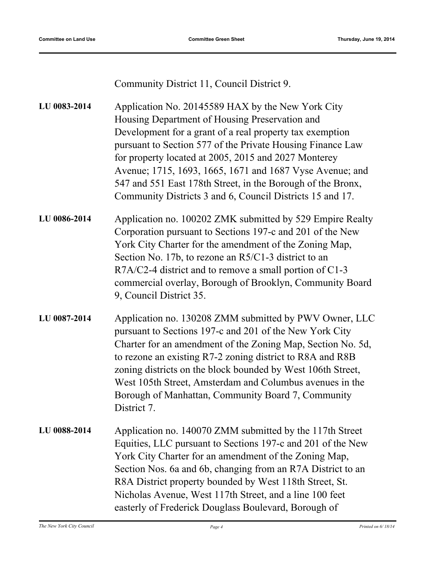Community District 11, Council District 9.

| LU 0083-2014 | Application No. 20145589 HAX by the New York City<br>Housing Department of Housing Preservation and                                                                                                                                                                                                                                                                                                                                           |
|--------------|-----------------------------------------------------------------------------------------------------------------------------------------------------------------------------------------------------------------------------------------------------------------------------------------------------------------------------------------------------------------------------------------------------------------------------------------------|
|              | Development for a grant of a real property tax exemption<br>pursuant to Section 577 of the Private Housing Finance Law<br>for property located at 2005, 2015 and 2027 Monterey<br>Avenue; 1715, 1693, 1665, 1671 and 1687 Vyse Avenue; and<br>547 and 551 East 178th Street, in the Borough of the Bronx,<br>Community Districts 3 and 6, Council Districts 15 and 17.                                                                        |
| LU 0086-2014 | Application no. 100202 ZMK submitted by 529 Empire Realty<br>Corporation pursuant to Sections 197-c and 201 of the New<br>York City Charter for the amendment of the Zoning Map,<br>Section No. 17b, to rezone an R5/C1-3 district to an<br>R7A/C2-4 district and to remove a small portion of C1-3<br>commercial overlay, Borough of Brooklyn, Community Board<br>9, Council District 35.                                                    |
| LU 0087-2014 | Application no. 130208 ZMM submitted by PWV Owner, LLC<br>pursuant to Sections 197-c and 201 of the New York City<br>Charter for an amendment of the Zoning Map, Section No. 5d,<br>to rezone an existing R7-2 zoning district to R8A and R8B<br>zoning districts on the block bounded by West 106th Street,<br>West 105th Street, Amsterdam and Columbus avenues in the<br>Borough of Manhattan, Community Board 7, Community<br>District 7. |
| LU 0088-2014 | Application no. 140070 ZMM submitted by the 117th Street<br>Equities, LLC pursuant to Sections 197-c and 201 of the New<br>York City Charter for an amendment of the Zoning Map,<br>Section Nos. 6a and 6b, changing from an R7A District to an                                                                                                                                                                                               |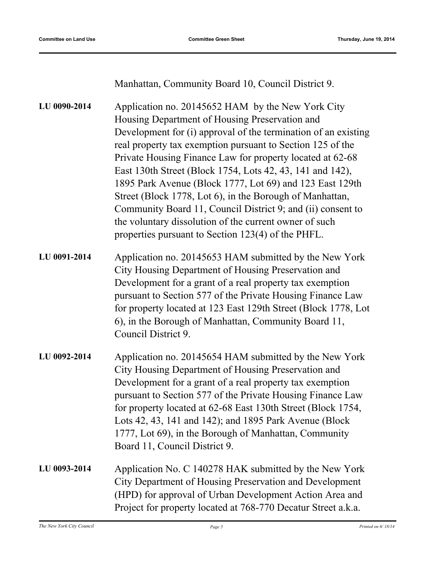Manhattan, Community Board 10, Council District 9.

| LU 0090-2014 | Application no. 20145652 HAM by the New York City<br>Housing Department of Housing Preservation and<br>Development for (i) approval of the termination of an existing<br>real property tax exemption pursuant to Section 125 of the<br>Private Housing Finance Law for property located at 62-68<br>East 130th Street (Block 1754, Lots 42, 43, 141 and 142),<br>1895 Park Avenue (Block 1777, Lot 69) and 123 East 129th<br>Street (Block 1778, Lot 6), in the Borough of Manhattan,<br>Community Board 11, Council District 9; and (ii) consent to<br>the voluntary dissolution of the current owner of such<br>properties pursuant to Section 123(4) of the PHFL. |
|--------------|----------------------------------------------------------------------------------------------------------------------------------------------------------------------------------------------------------------------------------------------------------------------------------------------------------------------------------------------------------------------------------------------------------------------------------------------------------------------------------------------------------------------------------------------------------------------------------------------------------------------------------------------------------------------|
| LU 0091-2014 | Application no. 20145653 HAM submitted by the New York<br>City Housing Department of Housing Preservation and<br>Development for a grant of a real property tax exemption<br>pursuant to Section 577 of the Private Housing Finance Law<br>for property located at 123 East 129th Street (Block 1778, Lot<br>6), in the Borough of Manhattan, Community Board 11,<br>Council District 9.                                                                                                                                                                                                                                                                             |
| LU 0092-2014 | Application no. 20145654 HAM submitted by the New York<br>City Housing Department of Housing Preservation and<br>Development for a grant of a real property tax exemption<br>pursuant to Section 577 of the Private Housing Finance Law<br>for property located at 62-68 East 130th Street (Block 1754,<br>Lots 42, 43, 141 and 142); and 1895 Park Avenue (Block<br>1777, Lot 69), in the Borough of Manhattan, Community<br>Board 11, Council District 9.                                                                                                                                                                                                          |
| LU 0093-2014 | Application No. C 140278 HAK submitted by the New York<br>City Department of Housing Preservation and Development<br>(HPD) for approval of Urban Development Action Area and<br>Project for property located at 768-770 Decatur Street a.k.a.                                                                                                                                                                                                                                                                                                                                                                                                                        |